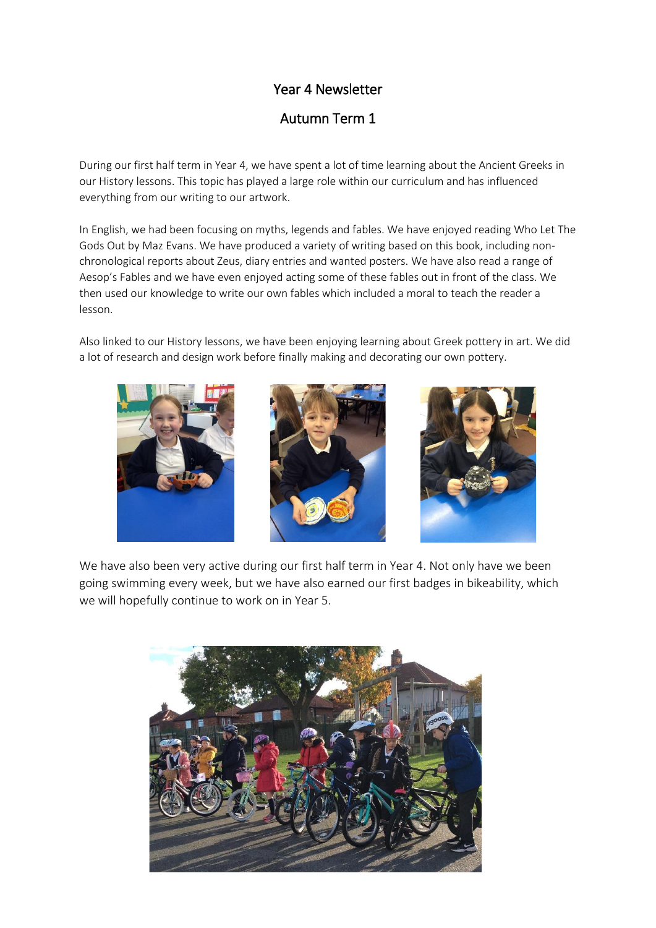## Year 4 Newsletter

Autumn Term 1

During our first half term in Year 4, we have spent a lot of time learning about the Ancient Greeks in our History lessons. This topic has played a large role within our curriculum and has influenced everything from our writing to our artwork.

In English, we had been focusing on myths, legends and fables. We have enjoyed reading Who Let The Gods Out by Maz Evans. We have produced a variety of writing based on this book, including nonchronological reports about Zeus, diary entries and wanted posters. We have also read a range of Aesop's Fables and we have even enjoyed acting some of these fables out in front of the class. We then used our knowledge to write our own fables which included a moral to teach the reader a lesson.

Also linked to our History lessons, we have been enjoying learning about Greek pottery in art. We did a lot of research and design work before finally making and decorating our own pottery.



We have also been very active during our first half term in Year 4. Not only have we been going swimming every week, but we have also earned our first badges in bikeability, which we will hopefully continue to work on in Year 5.